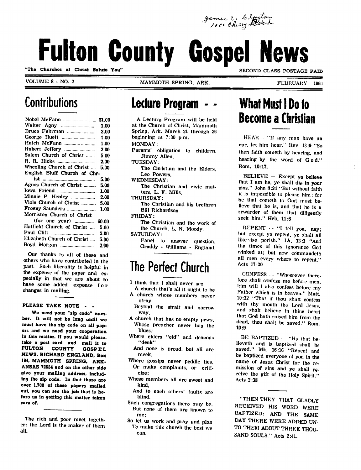James C. Clayton

# **Fulton County Gospel News**

VOLUME 8 - NO. 2 MAMMOTH SPRING. ARK.

FEBRUARY - 19GG

SECOND CLASS POSTAGE PAID

### **Contributions**

| Nobel McFann  \$1.00             |       |
|----------------------------------|-------|
|                                  | 1.00  |
| Bruce Fuhrman                    | 3.00  |
|                                  | 1.00  |
| Hutch McFann                     | 1.00  |
| Hubert Jeffery                   | 2.00  |
| Salem Church of Christ           | 5.00  |
|                                  | 2.00  |
| Wheeling Church of Christ        | 5.00  |
| English Bluff Church of Chr-     |       |
|                                  | 5.00  |
| Agnos Church of Christ           | 5.00  |
|                                  | 1.00  |
| Minnie P. Henley                 | 2.00  |
| Viola Church of Christ           | 5.00  |
| Freeny Saunders                  | 1.00  |
| Morriston Church of Christ       |       |
| (for one year) $\ldots$ $\ldots$ | 60.00 |
| Hatfield Church of Christ        | 5.00  |
|                                  | 2.00  |
| Elizabeth Church of Christ       | 5.00  |
|                                  | 2.00  |
|                                  |       |

Our thanks to all of these and others who have contributed in the past. Such liberality is helpful in the expense of the paper and es pecially in that we are about to have some added expense for changes in mailing.

#### PLEASE TAKE NOTE - -

We need your "zip code" number. It will not be long until we must have the sip code on all papors and we need your cooperation in this matter. If you would ploaso, iake a post card and mail it to<br>FULTON COUNTY GOSPEL FULTON COUNTY GOSP E L NEWS. RICHARD ENGLAND. Box 184. MAMMOTH SPRING. ARK ANSAS 72S54 and on the other side give your mailing address, includ ing the sip codo. In that ihore are over 1.700 of these papers mailed out. you can see the job that is be fore us in getting this matter taken care of.

#### **Lecture Program**

A Lecture Program will be held at the Church of Christ, Mammoth Spring, Ark. March 21 through 26 beginning at 7:30 p.m. MONDAY: Parents' obligation to children. Jimmy Allen. TUESDAY: The Christian and the Elders, Leo Powers. WEDNESDAY: The Christian and civic mat ters, L. F. Mills. THURSDAY: The Christian and his brethren

Bill Richardson FRIDAY:

The Christian and the work of the Church, L. N. Moody.

SATURDAY: Panel to answer question. Graddy - Williams - England.

#### The Perfect Church

- I think that I shall never see
- A church that's all it ought to be A church whose members never stray
- Beyond the strait and narrow
- A church that has no empty pews, Whose preacher never has the blues;
- Where elders "eld" and deacons "deak"
- And none is proud, but all are meek.
- Where gossips never peddle lies. Or make complaints, or criti cize;
- Whose members all are sweet and kind,
- And to each others' faults are blind.
- Such congregations there may be, But none of them are known to me;
- So let us work and pray and plan To make this church the best we can.

### What Must I Do to Become a Christian

HEAR "If any man have an ear, let him hear." Rev. 13:9 "So then faith coineth by hearing, and hearing by the word of God." Rom. 10:17.

BELIEVE — Except ye believe that I am he. ye shall die in your sins." John 8:24 "But without faith it is impossible to please him: for he that cometh to God must be lieve that he is, and that he is a rcwarder of them that diligently seek him." Heb. 11:6

REPENT  $\cdots$  "I tell you, nay; but except ye repent, yc shall all like-vise perish." Lk. 13:3 "And the times of this ignorance God winked at; but now eommandeth all men every where to repent." Acts 17:30

CONFESS • - "Whosoever therefore shall confess me before men, him will I also confess before my Father which is in heaven." Matt. 10:32 "That if thou shalt confess with thy mouth the Lord Jesus, and shnlt believe in thine heart that God hath raised him from the dead, thou shalt be saved." Rom 10:9

BE BAPTIZED - "He that believeth and is baptized shall bo saved." Mk. 16:16 "Repent and be baptized everyone of you in the name of Jesus Christ for the re mission of sins and ye shall re ceive the gift of the Holy Spirit." Acts 2:38

"THEN THEY THAT GLADLY RECEIVED HIS WORD WERE BAPTIZED: AND THE SAME DAY THERE WERE ADDED UN TO THEM ABOUT THREE THOU SAND SOULS." Acts 2:41.

The rich and poor meet togeth er: the Lord is the maker of them all.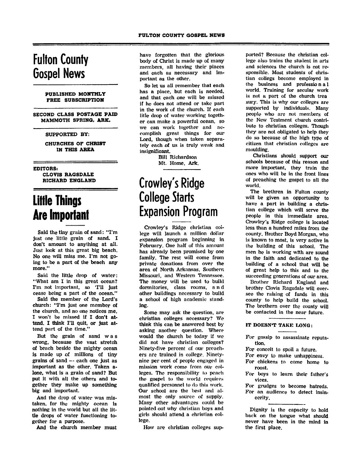#### Fulton County Gospel News

#### PUBLISHED MONTHLY FREE SUBSCRIPTION

SECOND CLASS POSTAGE PAID MAMMOTH SPRING, ARK.

#### SUPPORTED BY:

CHURCHES OF CHRIST IN THIS AREA

EDITORS! CLOVIS RAGSDALE RICHARD ENGLAND

### Little Things Are Important

Said the tiny grain of sand: "I'm just one little grain of sand. I don't amount to anything at all. Just look at this great big beach. No one will miss me. I'm not go ing to be a part of the beach any more."

Said the little drop of water: "What am I in this great ocean? I'm not important, so 'I'll just cease being a part of the ocean."

Said the member of the Lord's church: "I'm just one member of the church, and no one notices me. I won't be missed if I don't at tend. I think I'll quit, or just at tend part of the time."

But the grain of sand was wrong, because the vast stretch of beach beside the mighty ocean is made up of millions of tiny grains of sand — each one just as important as the other. Taken alone, what is a grain of sand? But put it with all the others and to gether they make up something big and important.

And the drop of water was mis taken, for the mighty ocean is nothing in the world but all the lit tle drops of water functioning to gether for a purpose.

And the church member must

have forgotten that the glorious body of Christ is made up of many members, all having their places and each as necessary and im portant as the other.

So let us all remember that each has a place, but each is needed, and that each one will be missed if he does not attend or take part in the work of the church. If each litle drop of water working togeth er can make a powerful ocean, so we can work together and ac complish great things for our Lord, though when taken separa tely each of us is truly weak and insignificant.

> Bill Richardson Mt. Home, Ark.

### Crowley's Ridge College Starts Expansion Program

Crowley's Ridge christian col lege will launch a million dollar expansion program beginning in February. One half of this amount has already been promised by one family. The rest will come from private donations from over the area of North Arkansas, Southern Missouri, and Western Tennessee. The money will be used to build dormitories, class rooms, and other buildings necessary to build a school of high academic stand ing.

Some may ask the question, are christian colleges necessary? We think this can be answered best by asking another question. Where would the church be today if we did not have christian colleges? Ninety-five percent of our preach ers are trained in college. Ninetynine per cent of people engaged in mission work come from our col leges. The responsibility lo peach the gospel to the world requires qualified personnel to da this work. Our school are the best and al most the only source of supply. Many other advantages could be pointed out why christian boys and girls should attend a christian col lege.

How are christian colleges sup

ported? Because the christian col lege also trains the student in arts and sciences the church is not re sponsible. Most students of chris tian collegs become employed in the business and professio n a 1 world. Training for secular work is not a part of the church trea sury. This is why our colleges are supported by individuals. Many people who are not members of the New Testment church contri bute to christian colleges. Though they are not obligated to help they do so because of the high type of citizen that christian colleges are moulding.

Christians should support our schools because of this reason and more important, they train the ones who will be in the front lines of preaching the gospel to all the world.

The brethren in Fulton county will be given an opportunity to have a part in building a chris tian college which will serve the people in this immediate area. Crowley's Ridge college is located less than a hundred miles from the county. Brother Boyd Morgan, who is known to most, is very active in the building of this school. The men he is working with are sound in the faith and dedicated to the building of a school that will be of great help to this and to the succeeding generations of our area.

Brother Richard England and brother Clovis Ragsdale will over see the raising of funds in this county to help build the school. The brcthern over the county will be contacted in the near future.

#### IT DOESN'T TAKE LONG:

- For gossip to assassinate reputa tion.
- For conceit to spoil a future.
- For envy to make unhappiness.
- For chickens to come home to roost.
- For boys to learn their father's vices.
- For grudges to become hatreds. For an audience to detect insin cerity.

Dignity is the capacity to hold back on the tongue what should never have been in the mind in the first place.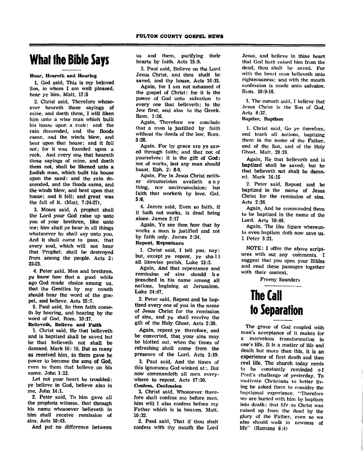### What the Bible Says

#### Hear, Heareth and Hearing

1. God said, This is my beloved Son, in whom I am well pleased, hear ye him. Matt. 17:5

2. Christ said, Therefore whoso ever heareth these sayings of mine, and doeth them, I will liken him unto a wise man which built his house upon a rock: and the rain descended, and the floods came, and the winds blew, and beat upon that house; and it fell not; for it was founded upon a rock. And every one that heareth these sayings of mine, and doeth them not, shall be likened unto a foolish man, which built his house upon the sand: and the rain de scended, and the floods came, and the winds blew, and beat upon that house; and it fell; and great was the fall of it. (Matt. 7:24-27).

3. Moses said, A prophet shall the Lord your God raise up unto you of your brethren, like unto me; him shall ye hear in all things whatsoever he shall say unto you. And it shall come to pass, that every soul, which will not hear that Prophet, shall be destroyed from among the people. Acts 3: 22-23.

4. Peter said, Men and brethren. ye know how that a good while ago God made choice among us, that the Gentiles by my mouth should hear the word of the gos pel, and believe. Acts 15:7.

5. Paul said, So then faith cometh by hearing, and hearing by the word of God. Rom. 10:17.

Believeth, Believe and Faith

1. Christ said. He that believeth and is baptized shall be saved but he that believeth not shall be damned. Mark 16: 16. But as many as received him, to them gave he power to become the sons of God, even to them that believe on his name. John 1:12.

Let not your heart be troubled: ye believe in God, believe also in me. John 14:1.

2. Peter said, To him gave all the prophets witness, that through his name whosoever believeth in him shall receive remission of sins. Acts 10:43.

And put no difference between

us and them, purifying their hearts by faith. Acts 15:9.

3. Paul said, Believe on the Lord Jesus Christ, and thou shalt be saved, and thy house. Acts 16:31.<br>Again, for I am not ashamed of

the gospel of Christ: for it is the power of God unto salvation to every one that believeth; to the Jew first, and also to the Greek. Rom. 1:16.

Again, Therefore we conclude that a man is justified by faith without the deeds of the law. Rom. 3:28.

Again. For by grace are ye saw ed through faith; and that not of yourselves: it is the gift of God: not of works, lest any man should boast. Eph. 2: 8-9.<br>Again, For in Jesus Christ neith-

er circumcision availeth any thing, nor uncircumcision; but faith that worketh by love. Gal. 5:6.

4. James said, Even so faith, if it hath not works, is dead being alone. James 2:17

Again, Ye see then how that by works a man is justified and not by faith only. James 2:24. Repent, Repentance

1. Christ said, I tell you, nay: but, except ye repent, ye sha 11 all likewise perish. Luke 13:3.

Again, And that repentance and remission of sins should b e preached in his name among all nations, begining at Jerusalem. Luke 24:47.

2. Peter said. Repent and be bap tized every one of you in the name of Jesus Christ for the remission of sins, and ye shall receive the gift of the Holy Ghost, Acts 2:38.

Again, repent ye therefore, and be converted, that your sins may be blotted out, when the times of refreshing shall come from the presence of the Lord. Acts 3:19.

3. Paul said, And the times of this ignorance God winked at:. But now commandcth all men every where to repent. Acts 17:30. Confess, Confession

1. Christ said, Whosoever there fore shall confess me before men, him will I also confess before my Father which is in heaven. Matt. 10:32.

2. Paul said, That if thou shalt confess with thy mouth the Lord Jesus, and believe in thine heart that God hath raised him from the dead, thou shalt be saved. For with the heart man believeth unto righteousness: and with the mouth confession is made unto salvaion. Rom. 10:9-10.

3. The eunuch said, I believe that Josus Christ is the Son of God. Acts 8:37.

#### Baptize, Baptism

1. Christ said, Go ye therefore, and teach all nations, baptizing them in the name of the Father, and of the Son, and of the Holy Ghost. Matt. 28:19.

Again, He that believeth and is baptized shall be saved; but he that believeth not shall be damn ed. Mark 16:16

2. Peter said, Repent and be baptized in the name of Jesus Christ for the remission of sins. Acts 2:38.

Again, And he commanded them to be baptized in the name of the Lord. Acts 10:48.

Again, The like figure whereunto even baptism doth now save us. 1 Peter 3:21.

NOTE: I offer the above script ures with out any comments. I suggest that you open your Bibles and read these passages together with their context.

Freeny Saunders

### The Cal to Separation

The grace of God coupled with man's acceptance of it makes for a marvelous transformation in one's life. It is a matter of life and death but more than this, it is an experience of first death and then real life. The church today needs to be constantly reminded of Paul's challange of yesterday. To motivate Christians to better liv ing he asked them to consider the baptismal experience. "Therefore we are buried with him by baptism into death: that life as Christ was raised up from the dead by the glory of the Father, even so we also should walk in newness of life" (Romans 6:4)